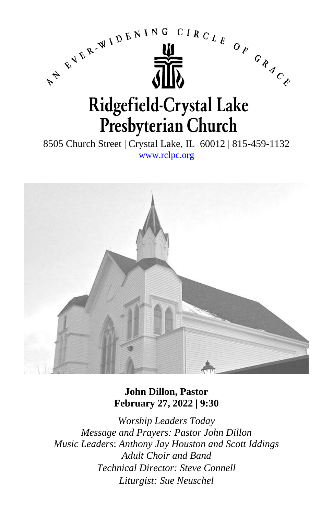



## **John Dillon, Pastor February 27, 2022 | 9:30**

*Worship Leaders Today Message and Prayers: Pastor John Dillon Music Leaders*: *Anthony Jay Houston and Scott Iddings Adult Choir and Band Technical Director: Steve Connell Liturgist: Sue Neuschel*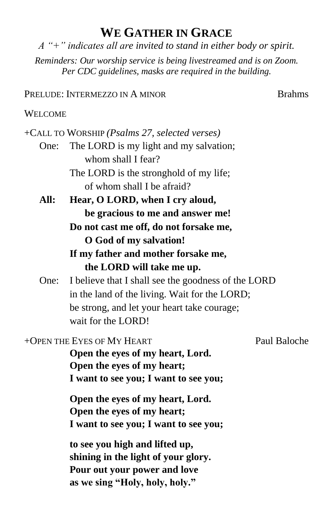## **WE GATHER IN GRACE**

*A "+" indicates all are invited to stand in either body or spirit.*

*Reminders: Our worship service is being livestreamed and is on Zoom. Per CDC guidelines, masks are required in the building.*

### PRELUDE: INTERMEZZO IN A MINOR Brahms

## WELCOME

|      | +CALL TO WORSHIP (Psalms 27, selected verses)       |              |
|------|-----------------------------------------------------|--------------|
| One: | The LORD is my light and my salvation;              |              |
|      | whom shall I fear?                                  |              |
|      | The LORD is the stronghold of my life;              |              |
|      | of whom shall I be afraid?                          |              |
| All: | Hear, O LORD, when I cry aloud,                     |              |
|      | be gracious to me and answer me!                    |              |
|      | Do not cast me off, do not forsake me,              |              |
|      | O God of my salvation!                              |              |
|      | If my father and mother forsake me,                 |              |
|      | the LORD will take me up.                           |              |
| One: | I believe that I shall see the goodness of the LORD |              |
|      | in the land of the living. Wait for the LORD;       |              |
|      | be strong, and let your heart take courage;         |              |
|      | wait for the LORD!                                  |              |
|      | +OPEN THE EYES OF MY HEART                          | Paul Baloche |
|      | Open the eyes of my heart, Lord.                    |              |
|      | Open the eyes of my heart;                          |              |
|      | I want to see you; I want to see you;               |              |
|      | Open the eyes of my heart, Lord.                    |              |
|      | Open the eyes of my heart;                          |              |
|      | I want to see you; I want to see you;               |              |
|      | to see you high and lifted up,                      |              |
|      | shining in the light of your glory.                 |              |
|      | Pour out your power and love                        |              |
|      | as we sing "Holy, holy, holy."                      |              |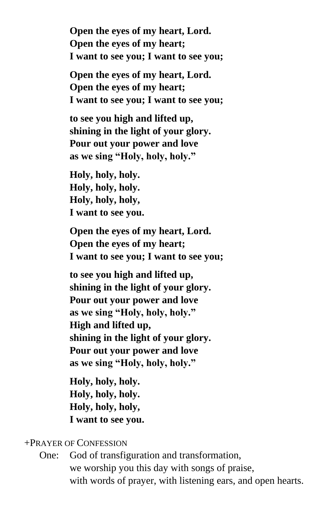**Open the eyes of my heart, Lord. Open the eyes of my heart; I want to see you; I want to see you;**

**Open the eyes of my heart, Lord. Open the eyes of my heart; I want to see you; I want to see you;**

**to see you high and lifted up, shining in the light of your glory. Pour out your power and love as we sing "Holy, holy, holy."**

**Holy, holy, holy. Holy, holy, holy. Holy, holy, holy, I want to see you.**

**Open the eyes of my heart, Lord. Open the eyes of my heart; I want to see you; I want to see you;**

**to see you high and lifted up, shining in the light of your glory. Pour out your power and love as we sing "Holy, holy, holy." High and lifted up, shining in the light of your glory. Pour out your power and love as we sing "Holy, holy, holy."**

**Holy, holy, holy. Holy, holy, holy. Holy, holy, holy, I want to see you.**

#### +PRAYER OF CONFESSION

One: God of transfiguration and transformation, we worship you this day with songs of praise, with words of prayer, with listening ears, and open hearts.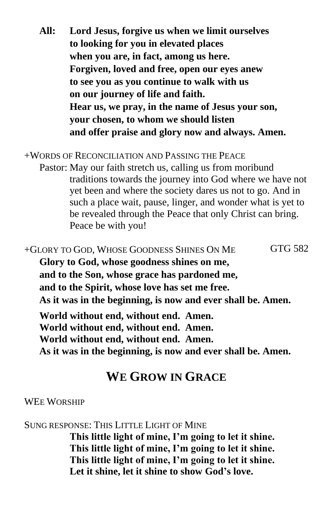**All: Lord Jesus, forgive us when we limit ourselves to looking for you in elevated places when you are, in fact, among us here. Forgiven, loved and free, open our eyes anew to see you as you continue to walk with us on our journey of life and faith. Hear us, we pray, in the name of Jesus your son, your chosen, to whom we should listen and offer praise and glory now and always. Amen.**

+WORDS OF RECONCILIATION AND PASSING THE PEACE

Pastor: May our faith stretch us, calling us from moribund traditions towards the journey into God where we have not yet been and where the society dares us not to go. And in such a place wait, pause, linger, and wonder what is yet to be revealed through the Peace that only Christ can bring. Peace be with you!

+GLORY TO GOD, WHOSE GOODNESS SHINES ON ME GTG 582 **Glory to God, whose goodness shines on me, and to the Son, whose grace has pardoned me, and to the Spirit, whose love has set me free. As it was in the beginning, is now and ever shall be. Amen.**

**World without end, without end. Amen. World without end, without end. Amen. World without end, without end. Amen. As it was in the beginning, is now and ever shall be. Amen.**

# **WE GROW IN GRACE**

WEE WORSHIP

SUNG RESPONSE: THIS LITTLE LIGHT OF MINE

**This little light of mine, I'm going to let it shine. This little light of mine, I'm going to let it shine. This little light of mine, I'm going to let it shine. Let it shine, let it shine to show God's love.**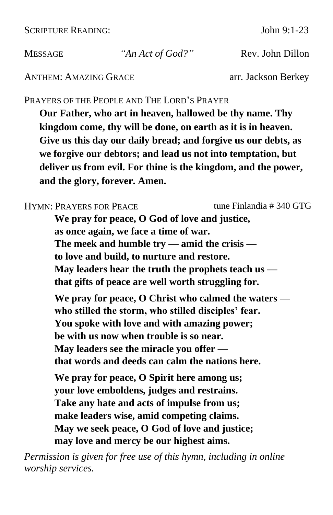SCRIPTURE READING: John 9:1-23

MESSAGE *"An Act of God?"* Rev. John Dillon

ANTHEM: AMAZING GRACE arr. Jackson Berkey

PRAYERS OF THE PEOPLE AND THE LORD'S PRAYER

**Our Father, who art in heaven, hallowed be thy name. Thy kingdom come, thy will be done, on earth as it is in heaven. Give us this day our daily bread; and forgive us our debts, as we forgive our debtors; and lead us not into temptation, but deliver us from evil. For thine is the kingdom, and the power, and the glory, forever. Amen.**

HYMN: PRAYERS FOR PEACE tune Finlandia # 340 GTG **We pray for peace, O God of love and justice, as once again, we face a time of war. The meek and humble try — amid the crisis to love and build, to nurture and restore. May leaders hear the truth the prophets teach us that gifts of peace are well worth struggling for. We pray for peace, O Christ who calmed the waters who stilled the storm, who stilled disciples' fear. You spoke with love and with amazing power; be with us now when trouble is so near. May leaders see the miracle you offer that words and deeds can calm the nations here. We pray for peace, O Spirit here among us; your love emboldens, judges and restrains. Take any hate and acts of impulse from us; make leaders wise, amid competing claims. May we seek peace, O God of love and justice; may love and mercy be our highest aims.**

*Permission is given for free use of this hymn, including in online worship services.*